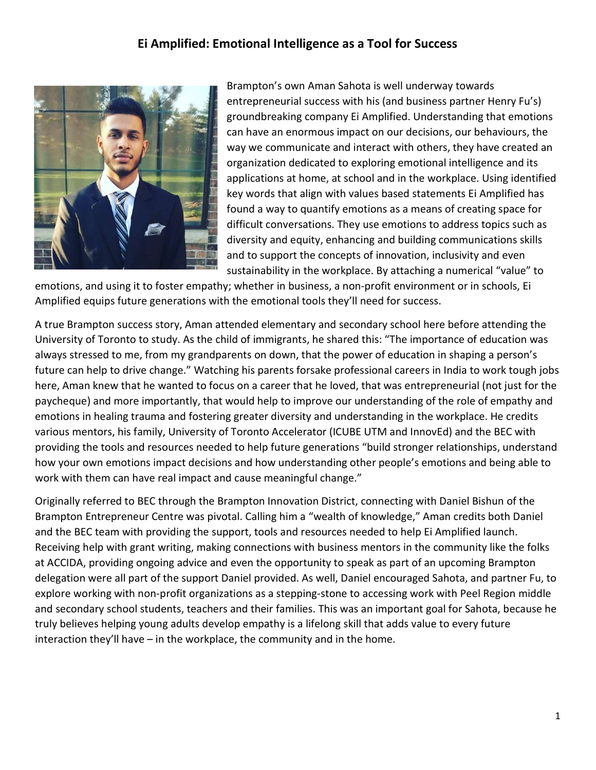## Ei Amplified: Emotional Intelligence as a Tool for Success



Brampton's own Aman Sahota is well underway towards entrepreneurial success with his (and business partner Henry Fu's) groundbreaking company Ei Amplified. Understanding that emotions can have an enormous impact on our decisions, our behaviours, the way we communicate and interact with others, they have created an organization dedicated to exploring emotional intelligence and its applications at home, at school and in the workplace. Using identified key words that align with values based statements Ei Amplified has found a way to quantify emotions as a means of creating space for difficult conversations. They use emotions to address topics such as diversity and equity, enhancing and building communications skills and to support the concepts of innovation, inclusivity and even sustainability in the workplace. By attaching a numerical "value" to

emotions, and using it to foster empathy; whether in business, a non-profit environment or in schools, Ei Amplified equips future generations with the emotional tools they'll need for success.

A true Brampton success story, Aman attended elementary and secondary school here before attending the University of Toronto to study. As the child of immigrants, he shared this: "The importance of education was always stressed to me, from my grandparents on down, that the power of education in shaping a person's future can help to drive change." Watching his parents forsake professional careers in India to work tough jobs here, Aman knew that he wanted to focus on a career that he loved, that was entrepreneurial (not just for the paycheque) and more importantly, that would help to improve our understanding of the role of empathy and emotions in healing trauma and fostering greater diversity and understanding in the workplace. He credits various mentors, his family, University of Toronto Accelerator (ICUBE UTM and InnovEd) and the BEC with providing the tools and resources needed to help future generations "build stronger relationships, understand how your own emotions impact decisions and how understanding other people's emotions and being able to work with them can have real impact and cause meaningful change."

Originally referred to BEC through the Brampton Innovation District, connecting with Daniel Bishun of the Brampton Entrepreneur Centre was pivotal. Calling him a "wealth of knowledge," Aman credits both Daniel and the BEC team with providing the support, tools and resources needed to help Ei Amplified launch. Receiving help with grant writing, making connections with business mentors in the community like the folks at ACCIDA, providing ongoing advice and even the opportunity to speak as part of an upcoming Brampton delegation were all part of the support Daniel provided. As well, Daniel encouraged Sahota, and partner Fu, to explore working with non-profit organizations as a stepping-stone to accessing work with Peel Region middle and secondary school students, teachers and their families. This was an important goal for Sahota, because he truly believes helping young adults develop empathy is a lifelong skill that adds value to every future interaction they'll have – in the workplace, the community and in the home.